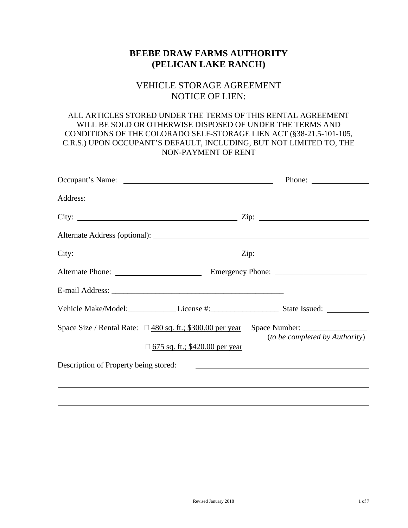# **BEEBE DRAW FARMS AUTHORITY (PELICAN LAKE RANCH)**

# VEHICLE STORAGE AGREEMENT NOTICE OF LIEN:

### ALL ARTICLES STORED UNDER THE TERMS OF THIS RENTAL AGREEMENT WILL BE SOLD OR OTHERWISE DISPOSED OF UNDER THE TERMS AND CONDITIONS OF THE COLORADO SELF-STORAGE LIEN ACT (§38-21.5-101-105, C.R.S.) UPON OCCUPANT'S DEFAULT, INCLUDING, BUT NOT LIMITED TO, THE NON-PAYMENT OF RENT

|                                                                 |                                | City: $\frac{2}{\pi}$ Zip: $\frac{2}{\pi}$                                        |
|-----------------------------------------------------------------|--------------------------------|-----------------------------------------------------------------------------------|
|                                                                 |                                |                                                                                   |
|                                                                 |                                | City: $\frac{2}{\pi}$ Zip: $\frac{2}{\pi}$                                        |
|                                                                 |                                |                                                                                   |
|                                                                 |                                |                                                                                   |
|                                                                 |                                | Vehicle Make/Model: License #: License #: State Issued: _________________________ |
| Space Size / Rental Rate: $\Box$ 480 sq. ft.; \$300.00 per year | 675 sq. ft.; \$420.00 per year | <i>(to be completed by Authority)</i>                                             |
| Description of Property being stored:                           |                                |                                                                                   |
|                                                                 |                                |                                                                                   |
|                                                                 |                                |                                                                                   |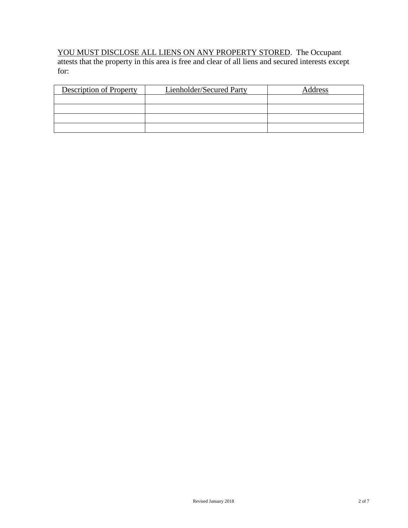#### YOU MUST DISCLOSE ALL LIENS ON ANY PROPERTY STORED. The Occupant

attests that the property in this area is free and clear of all liens and secured interests except for:

| Description of Property | Lienholder/Secured Party | Address |
|-------------------------|--------------------------|---------|
|                         |                          |         |
|                         |                          |         |
|                         |                          |         |
|                         |                          |         |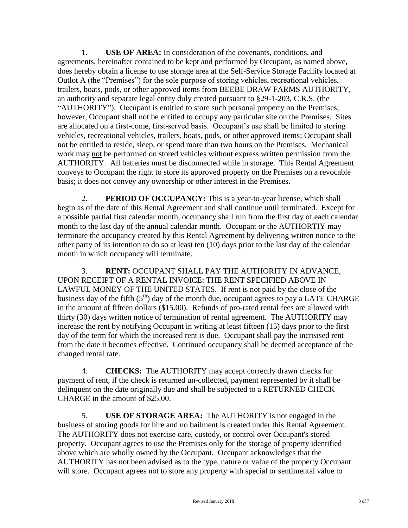1. **USE OF AREA:** In consideration of the covenants, conditions, and agreements, hereinafter contained to be kept and performed by Occupant, as named above, does hereby obtain a license to use storage area at the Self-Service Storage Facility located at Outlot A (the "Premises") for the sole purpose of storing vehicles, recreational vehicles, trailers, boats, pods, or other approved items from BEEBE DRAW FARMS AUTHORITY, an authority and separate legal entity duly created pursuant to §29-1-203, C.R.S. (the "AUTHORITY"). Occupant is entitled to store such personal property on the Premises; however, Occupant shall not be entitled to occupy any particular site on the Premises. Sites are allocated on a first-come, first-served basis. Occupant's use shall be limited to storing vehicles, recreational vehicles, trailers, boats, pods, or other approved items; Occupant shall not be entitled to reside, sleep, or spend more than two hours on the Premises. Mechanical work may not be performed on stored vehicles without express written permission from the AUTHORITY. All batteries must be disconnected while in storage. This Rental Agreement conveys to Occupant the right to store its approved property on the Premises on a revocable basis; it does not convey any ownership or other interest in the Premises.

2. **PERIOD OF OCCUPANCY:** This is a year-to-year license, which shall begin as of the date of this Rental Agreement and shall continue until terminated. Except for a possible partial first calendar month, occupancy shall run from the first day of each calendar month to the last day of the annual calendar month. Occupant or the AUTHORTIY may terminate the occupancy created by this Rental Agreement by delivering written notice to the other party of its intention to do so at least ten (10) days prior to the last day of the calendar month in which occupancy will terminate.

3. **RENT:** OCCUPANT SHALL PAY THE AUTHORITY IN ADVANCE, UPON RECEIPT OF A RENTAL INVOICE: THE RENT SPECIFIED ABOVE IN LAWFUL MONEY OF THE UNITED STATES. If rent is not paid by the close of the business day of the fifth  $(5<sup>th</sup>)$  day of the month due, occupant agrees to pay a LATE CHARGE in the amount of fifteen dollars (\$15.00). Refunds of pro-rated rental fees are allowed with thirty (30) days written notice of termination of rental agreement. The AUTHORITY may increase the rent by notifying Occupant in writing at least fifteen (15) days prior to the first day of the term for which the increased rent is due. Occupant shall pay the increased rent from the date it becomes effective. Continued occupancy shall be deemed acceptance of the changed rental rate.

4. **CHECKS:** The AUTHORITY may accept correctly drawn checks for payment of rent, if the check is returned un-collected, payment represented by it shall be delinquent on the date originally due and shall be subjected to a RETURNED CHECK CHARGE in the amount of \$25.00.

5. **USE OF STORAGE AREA:** The AUTHORITY is not engaged in the business of storing goods for hire and no bailment is created under this Rental Agreement. The AUTHORITY does not exercise care, custody, or control over Occupant's stored property. Occupant agrees to use the Premises only for the storage of property identified above which are wholly owned by the Occupant. Occupant acknowledges that the AUTHORITY has not been advised as to the type, nature or value of the property Occupant will store. Occupant agrees not to store any property with special or sentimental value to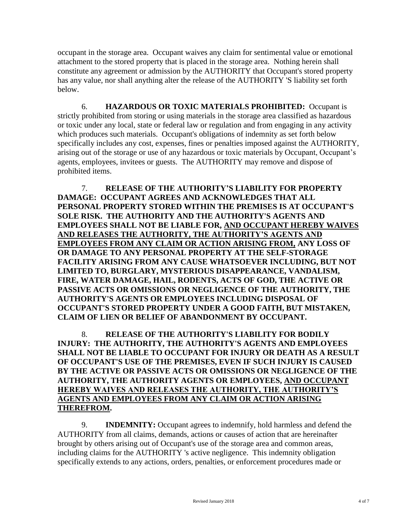occupant in the storage area. Occupant waives any claim for sentimental value or emotional attachment to the stored property that is placed in the storage area. Nothing herein shall constitute any agreement or admission by the AUTHORITY that Occupant's stored property has any value, nor shall anything alter the release of the AUTHORITY 'S liability set forth below.

6. **HAZARDOUS OR TOXIC MATERIALS PROHIBITED:** Occupant is strictly prohibited from storing or using materials in the storage area classified as hazardous or toxic under any local, state or federal law or regulation and from engaging in any activity which produces such materials. Occupant's obligations of indemnity as set forth below specifically includes any cost, expenses, fines or penalties imposed against the AUTHORITY, arising out of the storage or use of any hazardous or toxic materials by Occupant, Occupant's agents, employees, invitees or guests. The AUTHORITY may remove and dispose of prohibited items.

7. **RELEASE OF THE AUTHORITY'S LIABILITY FOR PROPERTY DAMAGE: OCCUPANT AGREES AND ACKNOWLEDGES THAT ALL PERSONAL PROPERTY STORED WITHIN THE PREMISES IS AT OCCUPANT'S SOLE RISK. THE AUTHORITY AND THE AUTHORITY'S AGENTS AND EMPLOYEES SHALL NOT BE LIABLE FOR, AND OCCUPANT HEREBY WAIVES AND RELEASES THE AUTHORITY, THE AUTHORITY'S AGENTS AND EMPLOYEES FROM ANY CLAIM OR ACTION ARISING FROM, ANY LOSS OF OR DAMAGE TO ANY PERSONAL PROPERTY AT THE SELF-STORAGE FACILITY ARISING FROM ANY CAUSE WHATSOEVER INCLUDING, BUT NOT LIMITED TO, BURGLARY, MYSTERIOUS DISAPPEARANCE, VANDALISM, FIRE, WATER DAMAGE, HAIL, RODENTS, ACTS OF GOD, THE ACTIVE OR PASSIVE ACTS OR OMISSIONS OR NEGLIGENCE OF THE AUTHORITY, THE AUTHORITY'S AGENTS OR EMPLOYEES INCLUDING DISPOSAL OF OCCUPANT'S STORED PROPERTY UNDER A GOOD FAITH, BUT MISTAKEN, CLAIM OF LIEN OR BELIEF OF ABANDONMENT BY OCCUPANT.**

8. **RELEASE OF THE AUTHORITY'S LIABILITY FOR BODILY INJURY: THE AUTHORITY, THE AUTHORITY'S AGENTS AND EMPLOYEES SHALL NOT BE LIABLE TO OCCUPANT FOR INJURY OR DEATH AS A RESULT OF OCCUPANT'S USE OF THE PREMISES, EVEN IF SUCH INJURY IS CAUSED BY THE ACTIVE OR PASSIVE ACTS OR OMISSIONS OR NEGLIGENCE OF THE AUTHORITY, THE AUTHORITY AGENTS OR EMPLOYEES, AND OCCUPANT HEREBY WAIVES AND RELEASES THE AUTHORITY, THE AUTHORITY'S AGENTS AND EMPLOYEES FROM ANY CLAIM OR ACTION ARISING THEREFROM.** 

9. **INDEMNITY:** Occupant agrees to indemnify, hold harmless and defend the AUTHORITY from all claims, demands, actions or causes of action that are hereinafter brought by others arising out of Occupant's use of the storage area and common areas, including claims for the AUTHORITY 's active negligence. This indemnity obligation specifically extends to any actions, orders, penalties, or enforcement procedures made or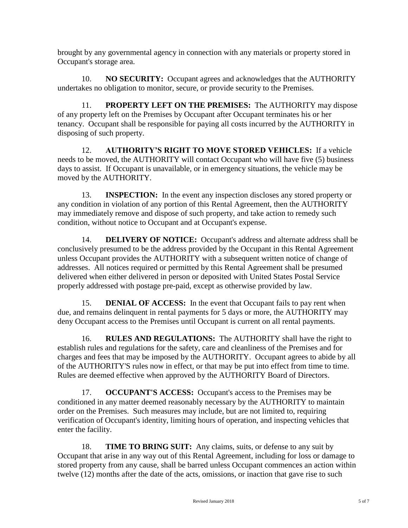brought by any governmental agency in connection with any materials or property stored in Occupant's storage area.

10. **NO SECURITY:** Occupant agrees and acknowledges that the AUTHORITY undertakes no obligation to monitor, secure, or provide security to the Premises.

11. **PROPERTY LEFT ON THE PREMISES:** The AUTHORITY may dispose of any property left on the Premises by Occupant after Occupant terminates his or her tenancy. Occupant shall be responsible for paying all costs incurred by the AUTHORITY in disposing of such property.

12. **AUTHORITY'S RIGHT TO MOVE STORED VEHICLES:** If a vehicle needs to be moved, the AUTHORITY will contact Occupant who will have five (5) business days to assist. If Occupant is unavailable, or in emergency situations, the vehicle may be moved by the AUTHORITY.

13. **INSPECTION:** In the event any inspection discloses any stored property or any condition in violation of any portion of this Rental Agreement, then the AUTHORITY may immediately remove and dispose of such property, and take action to remedy such condition, without notice to Occupant and at Occupant's expense.

14. **DELIVERY OF NOTICE:** Occupant's address and alternate address shall be conclusively presumed to be the address provided by the Occupant in this Rental Agreement unless Occupant provides the AUTHORITY with a subsequent written notice of change of addresses. All notices required or permitted by this Rental Agreement shall be presumed delivered when either delivered in person or deposited with United States Postal Service properly addressed with postage pre-paid, except as otherwise provided by law.

15. **DENIAL OF ACCESS:** In the event that Occupant fails to pay rent when due, and remains delinquent in rental payments for 5 days or more, the AUTHORITY may deny Occupant access to the Premises until Occupant is current on all rental payments.

16. **RULES AND REGULATIONS:** The AUTHORITY shall have the right to establish rules and regulations for the safety, care and cleanliness of the Premises and for charges and fees that may be imposed by the AUTHORITY. Occupant agrees to abide by all of the AUTHORITY'S rules now in effect, or that may be put into effect from time to time. Rules are deemed effective when approved by the AUTHORITY Board of Directors.

17. **OCCUPANT'S ACCESS:** Occupant's access to the Premises may be conditioned in any matter deemed reasonably necessary by the AUTHORITY to maintain order on the Premises. Such measures may include, but are not limited to, requiring verification of Occupant's identity, limiting hours of operation, and inspecting vehicles that enter the facility.

18. **TIME TO BRING SUIT:** Any claims, suits, or defense to any suit by Occupant that arise in any way out of this Rental Agreement, including for loss or damage to stored property from any cause, shall be barred unless Occupant commences an action within twelve (12) months after the date of the acts, omissions, or inaction that gave rise to such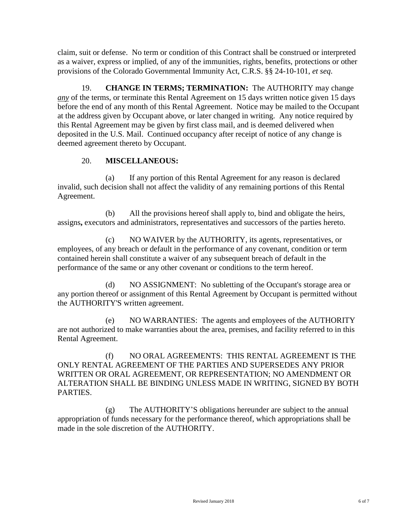claim, suit or defense. No term or condition of this Contract shall be construed or interpreted as a waiver, express or implied, of any of the immunities, rights, benefits, protections or other provisions of the Colorado Governmental Immunity Act, C.R.S. §§ 24-10-101, *et seq*.

19. **CHANGE IN TERMS; TERMINATION:** The AUTHORITY may change *any* of the terms, or terminate this Rental Agreement on 15 days written notice given 15 days before the end of any month of this Rental Agreement. Notice may be mailed to the Occupant at the address given by Occupant above, or later changed in writing. Any notice required by this Rental Agreement may be given by first class mail, and is deemed delivered when deposited in the U.S. Mail. Continued occupancy after receipt of notice of any change is deemed agreement thereto by Occupant.

### 20. **MISCELLANEOUS:**

(a) If any portion of this Rental Agreement for any reason is declared invalid, such decision shall not affect the validity of any remaining portions of this Rental Agreement.

(b) All the provisions hereof shall apply to, bind and obligate the heirs, assigns**,** executors and administrators, representatives and successors of the parties hereto.

(c) NO WAIVER by the AUTHORITY, its agents, representatives, or employees, of any breach or default in the performance of any covenant, condition or term contained herein shall constitute a waiver of any subsequent breach of default in the performance of the same or any other covenant or conditions to the term hereof.

(d) NO ASSIGNMENT: No subletting of the Occupant's storage area or any portion thereof or assignment of this Rental Agreement by Occupant is permitted without the AUTHORITY'S written agreement.

(e) NO WARRANTIES: The agents and employees of the AUTHORITY are not authorized to make warranties about the area, premises, and facility referred to in this Rental Agreement.

(f) NO ORAL AGREEMENTS: THIS RENTAL AGREEMENT IS THE ONLY RENTAL AGREEMENT OF THE PARTIES AND SUPERSEDES ANY PRIOR WRITTEN OR ORAL AGREEMENT, OR REPRESENTATION; NO AMENDMENT OR ALTERATION SHALL BE BINDING UNLESS MADE IN WRITING, SIGNED BY BOTH PARTIES.

(g) The AUTHORITY'S obligations hereunder are subject to the annual appropriation of funds necessary for the performance thereof, which appropriations shall be made in the sole discretion of the AUTHORITY.